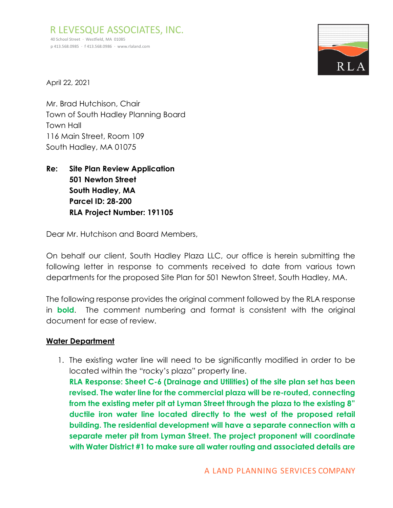R LEVESQUE ASSOCIATES, INC. 40 School Street · Westfield, MA 01085 p 413.568.0985 · f 413.568.0986 · [www.rlaland.com](http://www.rlaland.com/)



April 22, 2021

Mr. Brad Hutchison, Chair Town of South Hadley Planning Board Town Hall 116 Main Street, Room 109 South Hadley, MA 01075

**Re: Site Plan Review Application 501 Newton Street South Hadley, MA Parcel ID: 28-200 RLA Project Number: 191105**

Dear Mr. Hutchison and Board Members,

On behalf our client, South Hadley Plaza LLC, our office is herein submitting the following letter in response to comments received to date from various town departments for the proposed Site Plan for 501 Newton Street, South Hadley, MA.

The following response provides the original comment followed by the RLA response in **bold**. The comment numbering and format is consistent with the original document for ease of review.

# **Water Department**

1. The existing water line will need to be significantly modified in order to be located within the "rocky's plaza" property line. **RLA Response: Sheet C-6 (Drainage and Utilities) of the site plan set has been revised. The water line for the commercial plaza will be re-routed, connecting from the existing meter pit at Lyman Street through the plaza to the existing 8" ductile iron water line located directly to the west of the proposed retail building. The residential development will have a separate connection with a** 

**separate meter pit from Lyman Street. The project proponent will coordinate with Water District #1 to make sure all water routing and associated details are**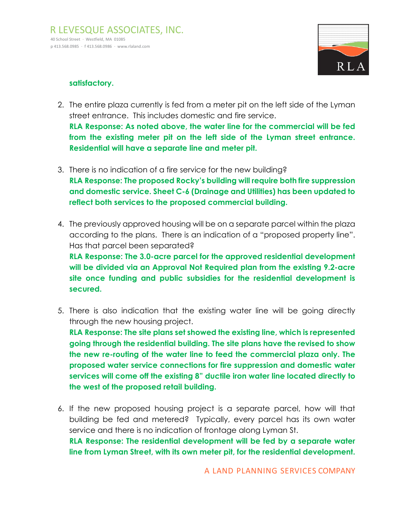

#### **satisfactory.**

2. The entire plaza currently is fed from a meter pit on the left side of the Lyman street entrance. This includes domestic and fire service.

**RLA Response: As noted above, the water line for the commercial will be fed from the existing meter pit on the left side of the Lyman street entrance. Residential will have a separate line and meter pit.** 

- 3. There is no indication of a fire service for the new building? **RLA Response: The proposed Rocky's building will require both fire suppression and domestic service. Sheet C-6 (Drainage and Utilities) has been updated to reflect both services to the proposed commercial building.**
- 4. The previously approved housing will be on a separate parcel within the plaza according to the plans. There is an indication of a "proposed property line". Has that parcel been separated? **RLA Response: The 3.0-acre parcel for the approved residential development will be divided via an Approval Not Required plan from the existing 9.2-acre site once funding and public subsidies for the residential development is secured.**
- 5. There is also indication that the existing water line will be going directly through the new housing project.

**RLA Response: The site plans set showed the existing line, which is represented going through the residential building. The site plans have the revised to show the new re-routing of the water line to feed the commercial plaza only. The proposed water service connections for fire suppression and domestic water services will come off the existing 8" ductile iron water line located directly to the west of the proposed retail building.**

6. If the new proposed housing project is a separate parcel, how will that building be fed and metered? Typically, every parcel has its own water service and there is no indication of frontage along Lyman St. **RLA Response: The residential development will be fed by a separate water line from Lyman Street, with its own meter pit, for the residential development.** 

A LAND PLANNING SERVICES COMPANY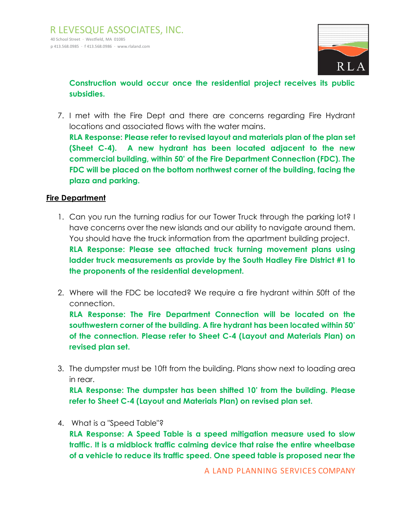

**Construction would occur once the residential project receives its public subsidies.** 

7. I met with the Fire Dept and there are concerns regarding Fire Hydrant locations and associated flows with the water mains.

**RLA Response: Please refer to revised layout and materials plan of the plan set (Sheet C-4). A new hydrant has been located adjacent to the new commercial building, within 50' of the Fire Department Connection (FDC). The FDC will be placed on the bottom northwest corner of the building, facing the plaza and parking.**

#### **Fire Department**

- 1. Can you run the turning radius for our Tower Truck through the parking lot? I have concerns over the new islands and our ability to navigate around them. You should have the truck information from the apartment building project. **RLA Response: Please see attached truck turning movement plans using ladder truck measurements as provide by the South Hadley Fire District #1 to the proponents of the residential development.**
- 2. Where will the FDC be located? We require a fire hydrant within 50ft of the connection.

**RLA Response: The Fire Department Connection will be located on the southwestern corner of the building. A fire hydrant has been located within 50' of the connection. Please refer to Sheet C-4 (Layout and Materials Plan) on revised plan set.**

3. The dumpster must be 10ft from the building. Plans show next to loading area in rear.

**RLA Response: The dumpster has been shifted 10' from the building. Please refer to Sheet C-4 (Layout and Materials Plan) on revised plan set.**

4. What is a "Speed Table"?

**RLA Response: A Speed Table is a speed mitigation measure used to slow traffic. It is a midblock traffic calming device that raise the entire wheelbase of a vehicle to reduce its traffic speed. One speed table is proposed near the**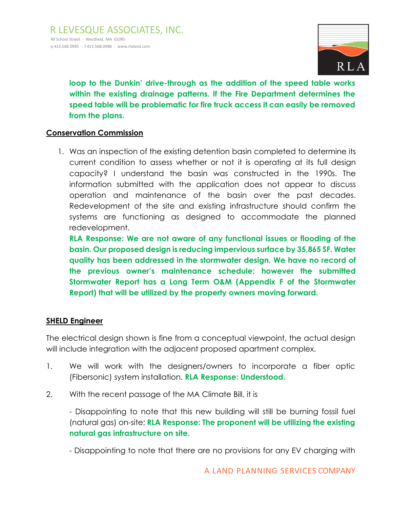

**loop to the Dunkin' drive-through as the addition of the speed table works within the existing drainage patterns. If the Fire Department determines the speed table will be problematic for fire truck access it can easily be removed from the plans.** 

## **Conservation Commission**

1. Was an inspection of the existing detention basin completed to determine its current condition to assess whether or not it is operating at its full design capacity? I understand the basin was constructed in the 1990s. The information submitted with the application does not appear to discuss operation and maintenance of the basin over the past decades. Redevelopment of the site and existing infrastructure should confirm the systems are functioning as designed to accommodate the planned redevelopment.

**RLA Response: We are not aware of any functional issues or flooding of the basin. Our proposed design is reducing impervious surface by 35,865 SF. Water quality has been addressed in the stormwater design. We have no record of the previous owner's maintenance schedule; however the submitted Stormwater Report has a Long Term O&M (Appendix F of the Stormwater Report) that will be utilized by the property owners moving forward.** 

## **SHELD Engineer**

The electrical design shown is fine from a conceptual viewpoint, the actual design will include integration with the adjacent proposed apartment complex.

- 1. We will work with the designers/owners to incorporate a fiber optic (Fibersonic) system installation. **RLA Response: Understood.**
- 2. With the recent passage of the MA Climate Bill, it is

- Disappointing to note that this new building will still be burning fossil fuel (natural gas) on-site; **RLA Response: The proponent will be utilizing the existing natural gas infrastructure on site.** 

- Disappointing to note that there are no provisions for any EV charging with